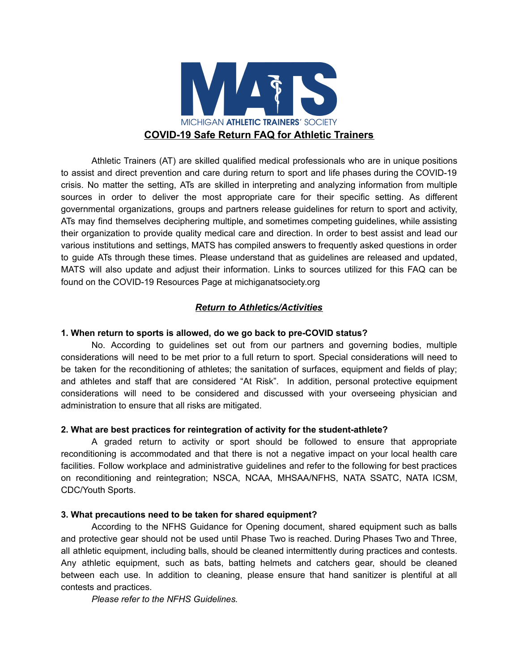

Athletic Trainers (AT) are skilled qualified medical professionals who are in unique positions to assist and direct prevention and care during return to sport and life phases during the COVID-19 crisis. No matter the setting, ATs are skilled in interpreting and analyzing information from multiple sources in order to deliver the most appropriate care for their specific setting. As different governmental organizations, groups and partners release guidelines for return to sport and activity, ATs may find themselves deciphering multiple, and sometimes competing guidelines, while assisting their organization to provide quality medical care and direction. In order to best assist and lead our various institutions and settings, MATS has compiled answers to frequently asked questions in order to guide ATs through these times. Please understand that as guidelines are released and updated, MATS will also update and adjust their information. Links to sources utilized for this FAQ can be found on the COVID-19 Resources Page at michiganatsociety.org

# *Return to Athletics/Activities*

## **1. When return to sports is allowed, do we go back to pre-COVID status?**

No. According to guidelines set out from our partners and governing bodies, multiple considerations will need to be met prior to a full return to sport. Special considerations will need to be taken for the reconditioning of athletes; the sanitation of surfaces, equipment and fields of play; and athletes and staff that are considered "At Risk". In addition, personal protective equipment considerations will need to be considered and discussed with your overseeing physician and administration to ensure that all risks are mitigated.

## **2. What are best practices for reintegration of activity for the student-athlete?**

A graded return to activity or sport should be followed to ensure that appropriate reconditioning is accommodated and that there is not a negative impact on your local health care facilities. Follow workplace and administrative guidelines and refer to the following for best practices on reconditioning and reintegration; NSCA, NCAA, MHSAA/NFHS, NATA SSATC, NATA ICSM, CDC/Youth Sports.

## **3. What precautions need to be taken for shared equipment?**

According to the NFHS Guidance for Opening document, shared equipment such as balls and protective gear should not be used until Phase Two is reached. During Phases Two and Three, all athletic equipment, including balls, should be cleaned intermittently during practices and contests. Any athletic equipment, such as bats, batting helmets and catchers gear, should be cleaned between each use. In addition to cleaning, please ensure that hand sanitizer is plentiful at all contests and practices.

*Please refer to the NFHS Guidelines.*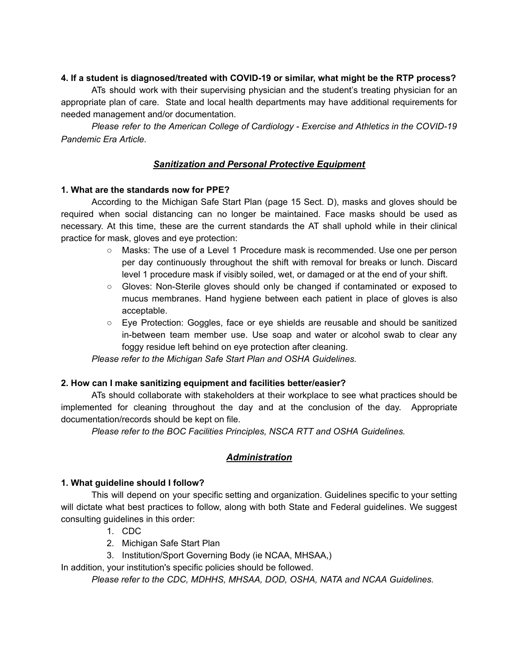## **4. If a student is diagnosed/treated with COVID-19 or similar, what might be the RTP process?**

ATs should work with their supervising physician and the student's treating physician for an appropriate plan of care. State and local health departments may have additional requirements for needed management and/or documentation.

*Please refer to the American College of Cardiology - Exercise and Athletics in the COVID-19 Pandemic Era Article.* 

# *Sanitization and Personal Protective Equipment*

## **1. What are the standards now for PPE?**

According to the Michigan Safe Start Plan (page 15 Sect. D), masks and gloves should be required when social distancing can no longer be maintained. Face masks should be used as necessary. At this time, these are the current standards the AT shall uphold while in their clinical practice for mask, gloves and eye protection:

- Masks: The use of a Level 1 Procedure mask is recommended. Use one per person per day continuously throughout the shift with removal for breaks or lunch. Discard level 1 procedure mask if visibly soiled, wet, or damaged or at the end of your shift.
- Gloves: Non-Sterile gloves should only be changed if contaminated or exposed to mucus membranes. Hand hygiene between each patient in place of gloves is also acceptable.
- Eye Protection: Goggles, face or eye shields are reusable and should be sanitized in-between team member use. Use soap and water or alcohol swab to clear any foggy residue left behind on eye protection after cleaning.

*Please refer to the Michigan Safe Start Plan and OSHA Guidelines.* 

# **2. How can I make sanitizing equipment and facilities better/easier?**

ATs should collaborate with stakeholders at their workplace to see what practices should be implemented for cleaning throughout the day and at the conclusion of the day. Appropriate documentation/records should be kept on file.

*Please refer to the BOC Facilities Principles, NSCA RTT and OSHA Guidelines.* 

# *Administration*

## **1. What guideline should I follow?**

This will depend on your specific setting and organization. Guidelines specific to your setting will dictate what best practices to follow, along with both State and Federal guidelines. We suggest consulting guidelines in this order:

- 1. CDC
- 2. Michigan Safe Start Plan
- 3. Institution/Sport Governing Body (ie NCAA, MHSAA,)

In addition, your institution's specific policies should be followed.

*Please refer to the CDC, MDHHS, MHSAA, DOD, OSHA, NATA and NCAA Guidelines.*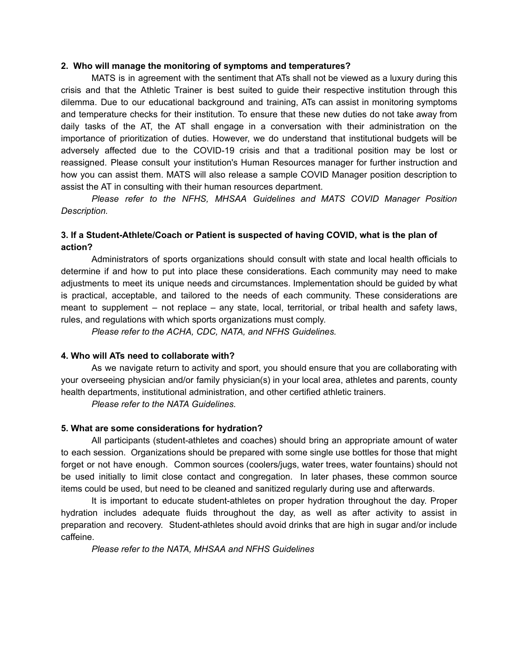#### **2. Who will manage the monitoring of symptoms and temperatures?**

MATS is in agreement with the sentiment that ATs shall not be viewed as a luxury during this crisis and that the Athletic Trainer is best suited to guide their respective institution through this dilemma. Due to our educational background and training, ATs can assist in monitoring symptoms and temperature checks for their institution. To ensure that these new duties do not take away from daily tasks of the AT, the AT shall engage in a conversation with their administration on the importance of prioritization of duties. However, we do understand that institutional budgets will be adversely affected due to the COVID-19 crisis and that a traditional position may be lost or reassigned. Please consult your institution's Human Resources manager for further instruction and how you can assist them. MATS will also release a sample COVID Manager position description to assist the AT in consulting with their human resources department.

*Please refer to the NFHS, MHSAA Guidelines and MATS COVID Manager Position Description.* 

## **3. If a Student-Athlete/Coach or Patient is suspected of having COVID, what is the plan of action?**

Administrators of sports organizations should consult with state and local health officials to determine if and how to put into place these considerations. Each community may need to make adjustments to meet its unique needs and circumstances. Implementation should be guided by what is practical, acceptable, and tailored to the needs of each community. These considerations are meant to supplement – not replace – any state, local, territorial, or tribal health and safety laws, rules, and regulations with which sports organizations must comply.

*Please refer to the ACHA, CDC, NATA, and NFHS Guidelines.* 

## **4. Who will ATs need to collaborate with?**

As we navigate return to activity and sport, you should ensure that you are collaborating with your overseeing physician and/or family physician(s) in your local area, athletes and parents, county health departments, institutional administration, and other certified athletic trainers.

*Please refer to the NATA Guidelines.* 

## **5. What are some considerations for hydration?**

All participants (student-athletes and coaches) should bring an appropriate amount of water to each session. Organizations should be prepared with some single use bottles for those that might forget or not have enough. Common sources (coolers/jugs, water trees, water fountains) should not be used initially to limit close contact and congregation. In later phases, these common source items could be used, but need to be cleaned and sanitized regularly during use and afterwards.

It is important to educate student-athletes on proper hydration throughout the day. Proper hydration includes adequate fluids throughout the day, as well as after activity to assist in preparation and recovery. Student-athletes should avoid drinks that are high in sugar and/or include caffeine.

*Please refer to the NATA, MHSAA and NFHS Guidelines*